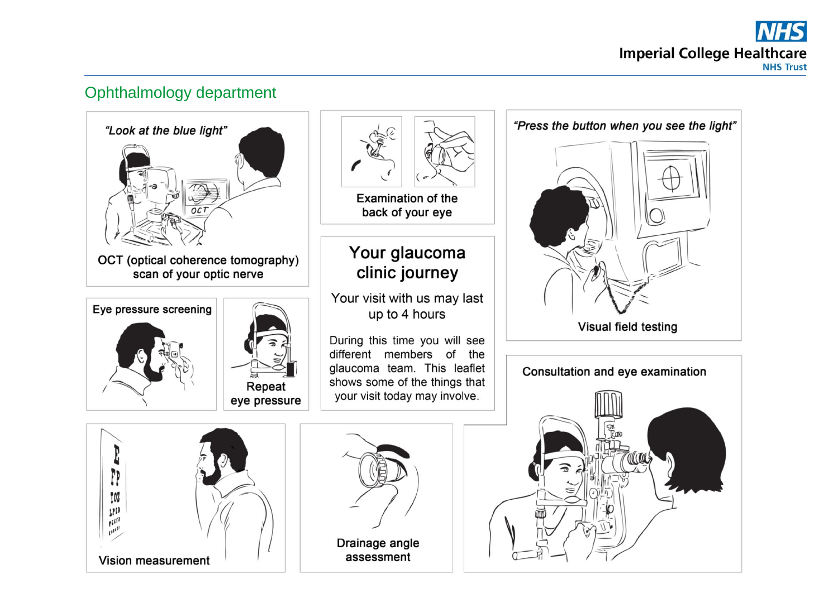

## Ophthalmology department